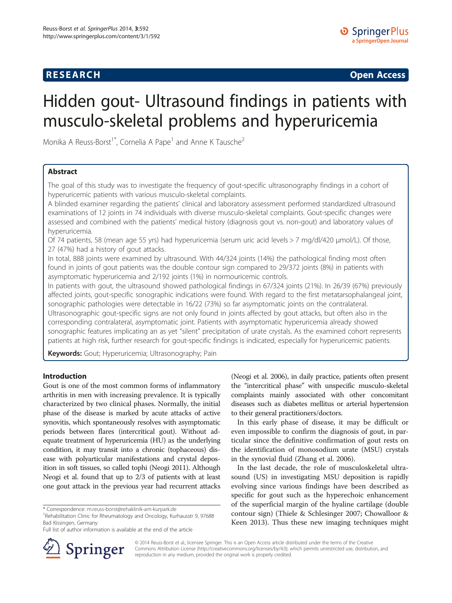## **RESEARCH RESEARCH** *CHECK CHECK CHECK CHECK CHECK CHECK CHECK CHECK CHECK CHECK CHECK CHECK CHECK CHECK CHECK CHECK CHECK CHECK CHECK CHECK CHECK CHECK CHECK CHECK CHECK CHECK CHECK CHECK CHECK CHECK CHECK CHECK CHECK*

# Hidden gout- Ultrasound findings in patients with musculo-skeletal problems and hyperuricemia

Monika A Reuss-Borst<sup>1\*</sup>, Cornelia A Pape<sup>1</sup> and Anne K Tausche<sup>2</sup>

## Abstract

The goal of this study was to investigate the frequency of gout-specific ultrasonography findings in a cohort of hyperuricemic patients with various musculo-skeletal complaints.

A blinded examiner regarding the patients' clinical and laboratory assessment performed standardized ultrasound examinations of 12 joints in 74 individuals with diverse musculo-skeletal complaints. Gout-specific changes were assessed and combined with the patients' medical history (diagnosis gout vs. non-gout) and laboratory values of hyperuricemia.

Of 74 patients, 58 (mean age 55 yrs) had hyperuricemia (serum uric acid levels > 7 mg/dl/420 μmol/L). Of those, 27 (47%) had a history of gout attacks.

In total, 888 joints were examined by ultrasound. With 44/324 joints (14%) the pathological finding most often found in joints of gout patients was the double contour sign compared to 29/372 joints (8%) in patients with asymptomatic hyperuricemia and 2/192 joints (1%) in normouricemic controls.

In patients with gout, the ultrasound showed pathological findings in 67/324 joints (21%). In 26/39 (67%) previously affected joints, gout-specific sonographic indications were found. With regard to the first metatarsophalangeal joint, sonographic pathologies were detectable in 16/22 (73%) so far asymptomatic joints on the contralateral. Ultrasonographic gout-specific signs are not only found in joints affected by gout attacks, but often also in the corresponding contralateral, asymptomatic joint. Patients with asymptomatic hyperuricemia already showed sonographic features implicating an as yet "silent" precipitation of urate crystals. As the examined cohort represents patients at high risk, further research for gout-specific findings is indicated, especially for hyperuricemic patients.

Keywords: Gout; Hyperuricemia; Ultrasonography; Pain

## Introduction

Gout is one of the most common forms of inflammatory arthritis in men with increasing prevalence. It is typically characterized by two clinical phases. Normally, the initial phase of the disease is marked by acute attacks of active synovitis, which spontaneously resolves with asymptomatic periods between flares (intercritical gout). Without adequate treatment of hyperuricemia (HU) as the underlying condition, it may transit into a chronic (tophaceous) disease with polyarticular manifestations and crystal deposition in soft tissues, so called tophi (Neogi [2011](#page-6-0)). Although Neogi et al. found that up to 2/3 of patients with at least one gout attack in the previous year had recurrent attacks

<sup>1</sup> Rehabilitation Clinic for Rheumatology and Oncology, Kurhausstr 9, 97688 Bad Kissingen, Germany

(Neogi et al. [2006\)](#page-6-0), in daily practice, patients often present the "intercritical phase" with unspecific musculo-skeletal complaints mainly associated with other concomitant diseases such as diabetes mellitus or arterial hypertension to their general practitioners/doctors.

In this early phase of disease, it may be difficult or even impossible to confirm the diagnosis of gout, in particular since the definitive confirmation of gout rests on the identification of monosodium urate (MSU) crystals in the synovial fluid (Zhang et al. [2006\)](#page-6-0).

In the last decade, the role of musculoskeletal ultrasound (US) in investigating MSU deposition is rapidly evolving since various findings have been described as specific for gout such as the hyperechoic enhancement of the superficial margin of the hyaline cartilage (double contour sign) (Thiele & Schlesinger [2007](#page-6-0); Chowalloor & Keen [2013](#page-6-0)). Thus these new imaging techniques might



© 2014 Reuss-Borst et al.; licensee Springer. This is an Open Access article distributed under the terms of the Creative Commons Attribution License (<http://creativecommons.org/licenses/by/4.0>), which permits unrestricted use, distribution, and reproduction in any medium, provided the original work is properly credited.

<sup>\*</sup> Correspondence: [m.reuss-borst@rehaklinik-am-kurpark.de](mailto:m.reuss-borst@rehaklinik-am-kurpark.de) <sup>1</sup>

Full list of author information is available at the end of the article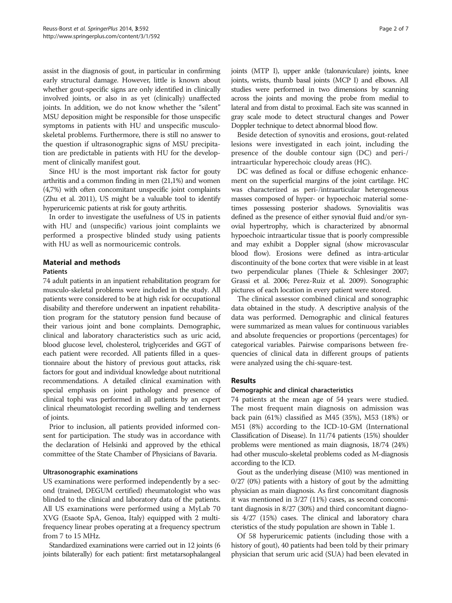assist in the diagnosis of gout, in particular in confirming early structural damage. However, little is known about whether gout-specific signs are only identified in clinically involved joints, or also in as yet (clinically) unaffected joints. In addition, we do not know whether the "silent" MSU deposition might be responsible for those unspecific symptoms in patients with HU and unspecific musculoskeletal problems. Furthermore, there is still no answer to the question if ultrasonographic signs of MSU precipitation are predictable in patients with HU for the development of clinically manifest gout.

Since HU is the most important risk factor for gouty arthritis and a common finding in men (21,1%) and women (4,7%) with often concomitant unspecific joint complaints (Zhu et al. [2011](#page-6-0)), US might be a valuable tool to identify hyperuricemic patients at risk for gouty arthritis.

In order to investigate the usefulness of US in patients with HU and (unspecific) various joint complaints we performed a prospective blinded study using patients with HU as well as normouricemic controls.

## Material and methods

#### **Patients**

74 adult patients in an inpatient rehabilitation program for musculo-skeletal problems were included in the study. All patients were considered to be at high risk for occupational disability and therefore underwent an inpatient rehabilitation program for the statutory pension fund because of their various joint and bone complaints. Demographic, clinical and laboratory characteristics such as uric acid, blood glucose level, cholesterol, triglycerides and GGT of each patient were recorded. All patients filled in a questionnaire about the history of previous gout attacks, risk factors for gout and individual knowledge about nutritional recommendations. A detailed clinical examination with special emphasis on joint pathology and presence of clinical tophi was performed in all patients by an expert clinical rheumatologist recording swelling and tenderness of joints.

Prior to inclusion, all patients provided informed consent for participation. The study was in accordance with the declaration of Helsinki and approved by the ethical committee of the State Chamber of Physicians of Bavaria.

### Ultrasonographic examinations

US examinations were performed independently by a second (trained, DEGUM certified) rheumatologist who was blinded to the clinical and laboratory data of the patients. All US examinations were performed using a MyLab 70 XVG (Esaote SpA, Genoa, Italy) equipped with 2 multifrequency linear probes operating at a frequency spectrum from 7 to 15 MHz.

Standardized examinations were carried out in 12 joints (6 joints bilaterally) for each patient: first metatarsophalangeal joints (MTP I), upper ankle (talonaviculare) joints, knee joints, wrists, thumb basal joints (MCP I) and elbows. All studies were performed in two dimensions by scanning across the joints and moving the probe from medial to lateral and from distal to proximal. Each site was scanned in gray scale mode to detect structural changes and Power Doppler technique to detect abnormal blood flow.

Beside detection of synovitis and erosions, gout-related lesions were investigated in each joint, including the presence of the double contour sign (DC) and peri-/ intraarticular hyperechoic cloudy areas (HC).

DC was defined as focal or diffuse echogenic enhancement on the superficial margins of the joint cartilage. HC was characterized as peri-/intraarticular heterogeneous masses composed of hyper- or hypoechoic material sometimes possessing posterior shadows. Synovialitis was defined as the presence of either synovial fluid and/or synovial hypertrophy, which is characterized by abnormal hypoechoic intraarticular tissue that is poorly compressible and may exhibit a Doppler signal (show microvascular blood flow). Erosions were defined as intra-articular discontinuity of the bone cortex that were visible in at least two perpendicular planes (Thiele & Schlesinger [2007](#page-6-0); Grassi et al. [2006](#page-6-0); Perez-Ruiz et al. [2009](#page-6-0)). Sonographic pictures of each location in every patient were stored.

The clinical assessor combined clinical and sonographic data obtained in the study. A descriptive analysis of the data was performed. Demographic and clinical features were summarized as mean values for continuous variables and absolute frequencies or proportions (percentages) for categorical variables. Pairwise comparisons between frequencies of clinical data in different groups of patients were analyzed using the chi-square-test.

## Results

### Demographic and clinical characteristics

74 patients at the mean age of 54 years were studied. The most frequent main diagnosis on admission was back pain (61%) classified as M45 (35%), M53 (18%) or M51 (8%) according to the ICD-10-GM (International Classification of Disease). In 11/74 patients (15%) shoulder problems were mentioned as main diagnosis, 18/74 (24%) had other musculo-skeletal problems coded as M-diagnosis according to the ICD.

Gout as the underlying disease (M10) was mentioned in 0/27 (0%) patients with a history of gout by the admitting physician as main diagnosis. As first concomitant diagnosis it was mentioned in 3/27 (11%) cases, as second concomitant diagnosis in 8/27 (30%) and third concomitant diagnosis 4/27 (15%) cases. The clinical and laboratory chara cteristics of the study population are shown in Table [1](#page-2-0).

Of 58 hyperuricemic patients (including those with a history of gout), 40 patients had been told by their primary physician that serum uric acid (SUA) had been elevated in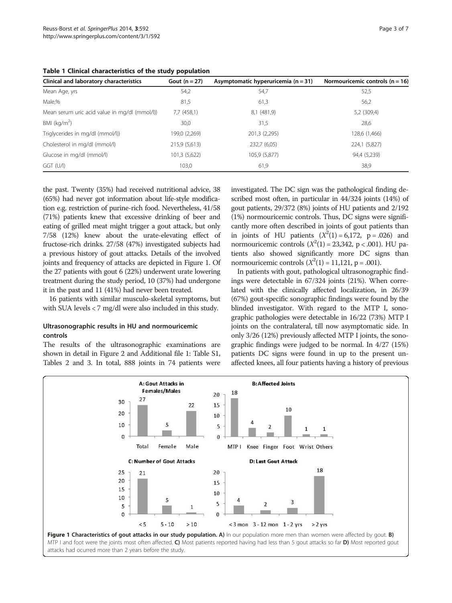<span id="page-2-0"></span>

|  |  | Table 1 Clinical characteristics of the study population |  |  |  |
|--|--|----------------------------------------------------------|--|--|--|
|--|--|----------------------------------------------------------|--|--|--|

| Clinical and laboratory characteristics      | Gout $(n = 27)$ | Asymptomatic hyperuricemia ( $n = 31$ ) | Normouricemic controls ( $n = 16$ ) |
|----------------------------------------------|-----------------|-----------------------------------------|-------------------------------------|
| Mean Age, yrs                                | 54,2            | 54,7                                    | 52,5                                |
| Male,%                                       | 81,5            | 61,3                                    | 56,2                                |
| Mean serum uric acid value in mg/dl (mmol/l) | $7,7$ (458,1)   | 8,1 (481,9)                             | 5,2 (309,4)                         |
| BMI ( $kg/m2$ )                              | 30,0            | 31,5                                    | 28,6                                |
| Triglycerides in mg/dl (mmol/l))             | 199,0 (2,269)   | 201,3 (2,295)                           | 128,6 (1,466)                       |
| Cholesterol in mg/dl (mmol/l)                | 215,9 (5,613)   | 232,7 (6,05)                            | 224,1 (5,827)                       |
| Glucose in mg/dl (mmol/l)                    | 101,3 (5,622)   | 105,9 (5,877)                           | 94,4 (5,239)                        |
| $GGT$ (U/I)                                  | 103.0           | 61,9                                    | 38,9                                |

the past. Twenty (35%) had received nutritional advice, 38 (65%) had never got information about life-style modification e.g. restriction of purine-rich food. Nevertheless, 41/58 (71%) patients knew that excessive drinking of beer and eating of grilled meat might trigger a gout attack, but only 7/58 (12%) knew about the urate-elevating effect of fructose-rich drinks. 27/58 (47%) investigated subjects had a previous history of gout attacks. Details of the involved joints and frequency of attacks are depicted in Figure 1. Of the 27 patients with gout 6 (22%) underwent urate lowering treatment during the study period, 10 (37%) had undergone it in the past and 11 (41%) had never been treated.

16 patients with similar musculo-skeletal symptoms, but with SUA levels < 7 mg/dl were also included in this study.

## Ultrasonographic results in HU and normouricemic controls

The results of the ultrasonographic examinations are shown in detail in Figure [2](#page-3-0) and Additional file [1](#page-6-0): Table S1, Tables [2](#page-4-0) and [3.](#page-5-0) In total, 888 joints in 74 patients were investigated. The DC sign was the pathological finding described most often, in particular in 44/324 joints (14%) of gout patients, 29/372 (8%) joints of HU patients and 2/192 (1%) normouricemic controls. Thus, DC signs were significantly more often described in joints of gout patients than in joints of HU patients  $(X^2(1) = 6,172, p = .026)$  and normouricemic controls  $(X^2(1) = 23,342, p < .001)$ . HU patients also showed significantly more DC signs than normouricemic controls  $(X^2(1) = 11,121, p = .001)$ .

In patients with gout, pathological ultrasonographic findings were detectable in 67/324 joints (21%). When correlated with the clinically affected localization, in 26/39 (67%) gout-specific sonographic findings were found by the blinded investigator. With regard to the MTP I, sonographic pathologies were detectable in 16/22 (73%) MTP I joints on the contralateral, till now asymptomatic side. In only 3/26 (12%) previously affected MTP I joints, the sonographic findings were judged to be normal. In 4/27 (15%) patients DC signs were found in up to the present unaffected knees, all four patients having a history of previous

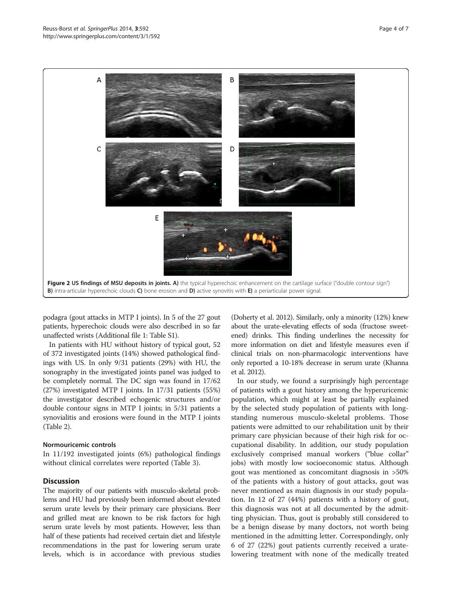<span id="page-3-0"></span>

podagra (gout attacks in MTP I joints). In 5 of the 27 gout patients, hyperechoic clouds were also described in so far unaffected wrists (Additional file [1:](#page-6-0) Table S1).

In patients with HU without history of typical gout, 52 of 372 investigated joints (14%) showed pathological findings with US. In only 9/31 patients (29%) with HU, the sonography in the investigated joints panel was judged to be completely normal. The DC sign was found in 17/62 (27%) investigated MTP I joints. In 17/31 patients (55%) the investigator described echogenic structures and/or double contour signs in MTP I joints; in 5/31 patients a synovialitis and erosions were found in the MTP I joints (Table [2](#page-4-0)).

### Normouricemic controls

In 11/192 investigated joints (6%) pathological findings without clinical correlates were reported (Table [3\)](#page-5-0).

#### **Discussion**

The majority of our patients with musculo-skeletal problems and HU had previously been informed about elevated serum urate levels by their primary care physicians. Beer and grilled meat are known to be risk factors for high serum urate levels by most patients. However, less than half of these patients had received certain diet and lifestyle recommendations in the past for lowering serum urate levels, which is in accordance with previous studies (Doherty et al. [2012\)](#page-6-0). Similarly, only a minority (12%) knew about the urate-elevating effects of soda (fructose sweetened) drinks. This finding underlines the necessity for more information on diet and lifestyle measures even if clinical trials on non-pharmacologic interventions have only reported a 10-18% decrease in serum urate (Khanna et al. [2012\)](#page-6-0).

In our study, we found a surprisingly high percentage of patients with a gout history among the hyperuricemic population, which might at least be partially explained by the selected study population of patients with longstanding numerous musculo-skeletal problems. Those patients were admitted to our rehabilitation unit by their primary care physician because of their high risk for occupational disability. In addition, our study population exclusively comprised manual workers ("blue collar" jobs) with mostly low socioeconomic status. Although gout was mentioned as concomitant diagnosis in >50% of the patients with a history of gout attacks, gout was never mentioned as main diagnosis in our study population. In 12 of 27 (44%) patients with a history of gout, this diagnosis was not at all documented by the admitting physician. Thus, gout is probably still considered to be a benign disease by many doctors, not worth being mentioned in the admitting letter. Correspondingly, only 6 of 27 (22%) gout patients currently received a uratelowering treatment with none of the medically treated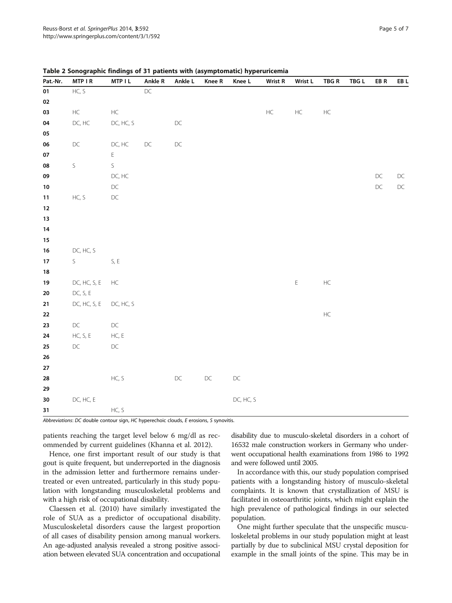|                  | $-$           | <u>ы.</u>                              | and the       | $\cdot$       | $\epsilon$<br>n. | 7. ZE         |               |              |               |                                            |               |               |
|------------------|---------------|----------------------------------------|---------------|---------------|------------------|---------------|---------------|--------------|---------------|--------------------------------------------|---------------|---------------|
| Pat.-Nr.         | MTP I R       | MTP I L                                | Ankle R       | Ankle L       | Knee R           | Knee L        | Wrist R       | Wrist L      | TBG R         | $\mathsf{T}\mathsf{B}\mathsf{G}\mathsf{L}$ | EB R          | EB L          |
| 01               | HC, S         |                                        | $\mathsf{DC}$ |               |                  |               |               |              |               |                                            |               |               |
| $02\,$           |               |                                        |               |               |                  |               |               |              |               |                                            |               |               |
| 03               | $\mathsf{HC}$ | $\sf HC$                               |               |               |                  |               | $\mathsf{HC}$ | $\sf HC$     | $\mathsf{HC}$ |                                            |               |               |
| 04               | DC, HC        | DC, HC, S                              |               | $\mathsf{DC}$ |                  |               |               |              |               |                                            |               |               |
| 05               |               |                                        |               |               |                  |               |               |              |               |                                            |               |               |
| 06               | $\mathsf{DC}$ | DC, HC                                 | $\mathsf{DC}$ | $\mathsf{DC}$ |                  |               |               |              |               |                                            |               |               |
| 07               |               | $\mathsf{E}^{\scriptscriptstyle \top}$ |               |               |                  |               |               |              |               |                                            |               |               |
| 08               | $\mathsf S$   | S                                      |               |               |                  |               |               |              |               |                                            |               |               |
| 09               |               | $DC, HC$                               |               |               |                  |               |               |              |               |                                            | $\mathsf{DC}$ | $\mathsf{DC}$ |
| $10\,$           |               | $\mathsf{DC}$                          |               |               |                  |               |               |              |               |                                            | $\mathsf{DC}$ | $\mathsf{DC}$ |
| 11               | HC, S         | $\mathsf{DC}$                          |               |               |                  |               |               |              |               |                                            |               |               |
| $12 \,$          |               |                                        |               |               |                  |               |               |              |               |                                            |               |               |
| 13               |               |                                        |               |               |                  |               |               |              |               |                                            |               |               |
| 14               |               |                                        |               |               |                  |               |               |              |               |                                            |               |               |
| $15\phantom{.0}$ |               |                                        |               |               |                  |               |               |              |               |                                            |               |               |
| $16\,$           | DC, HC, S     |                                        |               |               |                  |               |               |              |               |                                            |               |               |
| $17\,$           | S             | S, E                                   |               |               |                  |               |               |              |               |                                            |               |               |
| ${\bf 18}$       |               |                                        |               |               |                  |               |               |              |               |                                            |               |               |
| 19               | DC, HC, S, E  | $\sf HC$                               |               |               |                  |               |               | $\mathsf{E}$ | $\mathsf{HC}$ |                                            |               |               |
| ${\bf 20}$       | DC, S, E      |                                        |               |               |                  |               |               |              |               |                                            |               |               |
| 21               | DC, HC, S, E  | DC, HC, S                              |               |               |                  |               |               |              |               |                                            |               |               |
| 22               |               |                                        |               |               |                  |               |               |              | $\mathsf{HC}$ |                                            |               |               |
| 23               | DC            | $\mathsf{DC}$                          |               |               |                  |               |               |              |               |                                            |               |               |
| ${\bf 24}$       | HC, $S, E$    | HC, E                                  |               |               |                  |               |               |              |               |                                            |               |               |
| $25\phantom{.0}$ | $\mathsf{DC}$ | $\mathsf{DC}$                          |               |               |                  |               |               |              |               |                                            |               |               |
| ${\bf 26}$       |               |                                        |               |               |                  |               |               |              |               |                                            |               |               |
| $\bf 27$         |               |                                        |               |               |                  |               |               |              |               |                                            |               |               |
| 28               |               | HC, S                                  |               | $\mathsf{DC}$ | $\mathsf{DC}$    | $\mathsf{DC}$ |               |              |               |                                            |               |               |
| 29               |               |                                        |               |               |                  |               |               |              |               |                                            |               |               |
| $30\,$           | DC, HC, E     |                                        |               |               |                  | DC, HC, S     |               |              |               |                                            |               |               |
| 31               |               | HC, S                                  |               |               |                  |               |               |              |               |                                            |               |               |
|                  |               |                                        |               |               |                  |               |               |              |               |                                            |               |               |

#### <span id="page-4-0"></span>Table 2 Sonographic findings of 31 patients with (asymptomatic) hyperuricemia

Abbreviations: DC double contour sign, HC hyperechoic clouds, E erosions, S synovitis.

patients reaching the target level below 6 mg/dl as recommended by current guidelines (Khanna et al. [2012\)](#page-6-0).

Hence, one first important result of our study is that gout is quite frequent, but underreported in the diagnosis in the admission letter and furthermore remains undertreated or even untreated, particularly in this study population with longstanding musculoskeletal problems and with a high risk of occupational disability.

Claessen et al. [\(2010\)](#page-6-0) have similarly investigated the role of SUA as a predictor of occupational disability. Musculoskeletal disorders cause the largest proportion of all cases of disability pension among manual workers. An age-adjusted analysis revealed a strong positive association between elevated SUA concentration and occupational

disability due to musculo-skeletal disorders in a cohort of 16532 male construction workers in Germany who underwent occupational health examinations from 1986 to 1992 and were followed until 2005.

In accordance with this, our study population comprised patients with a longstanding history of musculo-skeletal complaints. It is known that crystallization of MSU is facilitated in osteoarthritic joints, which might explain the high prevalence of pathological findings in our selected population.

One might further speculate that the unspecific musculoskeletal problems in our study population might at least partially by due to subclinical MSU crystal deposition for example in the small joints of the spine. This may be in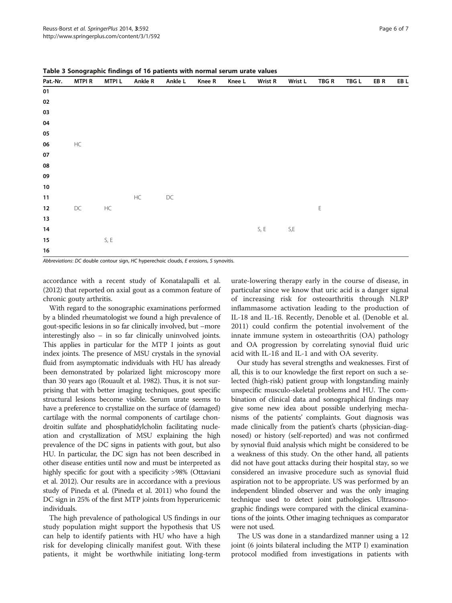| Pat.-Nr.   | <b>MTPIR</b>  | <b>MTPIL</b> | <b>Ankle R</b> | Ankle L       | <b>Knee R</b> | Knee L | <b>Wrist R</b> | Wrist L                        | TBG R       | TBG L | EB R | EB L |
|------------|---------------|--------------|----------------|---------------|---------------|--------|----------------|--------------------------------|-------------|-------|------|------|
| 01         |               |              |                |               |               |        |                |                                |             |       |      |      |
| $02\,$     |               |              |                |               |               |        |                |                                |             |       |      |      |
| ${\bf 03}$ |               |              |                |               |               |        |                |                                |             |       |      |      |
| ${\bf 04}$ |               |              |                |               |               |        |                |                                |             |       |      |      |
| 05         |               |              |                |               |               |        |                |                                |             |       |      |      |
| ${\bf 06}$ | $\sf HC$      |              |                |               |               |        |                |                                |             |       |      |      |
| ${\bf 07}$ |               |              |                |               |               |        |                |                                |             |       |      |      |
| 08         |               |              |                |               |               |        |                |                                |             |       |      |      |
| 09         |               |              |                |               |               |        |                |                                |             |       |      |      |
| $10\,$     |               |              |                |               |               |        |                |                                |             |       |      |      |
| $11$       |               |              | $\sf HC$       | $\mathsf{DC}$ |               |        |                |                                |             |       |      |      |
| 12         | $\mathsf{DC}$ | $\sf HC$     |                |               |               |        |                |                                | $\mathsf E$ |       |      |      |
| $13$       |               |              |                |               |               |        |                |                                |             |       |      |      |
| 14         |               |              |                |               |               |        | $S, \, E$      | $\mathsf{S}\text{,}\mathsf{E}$ |             |       |      |      |
| 15         |               | $S, \, E$    |                |               |               |        |                |                                |             |       |      |      |
| $16\,$     |               |              |                |               |               |        |                |                                |             |       |      |      |

<span id="page-5-0"></span>Table 3 Sonographic findings of 16 patients with normal serum urate values

Abbreviations: DC double contour sign, HC hyperechoic clouds, E erosions, S synovitis.

accordance with a recent study of Konatalapalli et al. ([2012](#page-6-0)) that reported on axial gout as a common feature of chronic gouty arthritis.

With regard to the sonographic examinations performed by a blinded rheumatologist we found a high prevalence of gout-specific lesions in so far clinically involved, but –more interestingly also – in so far clinically uninvolved joints. This applies in particular for the MTP I joints as gout index joints. The presence of MSU crystals in the synovial fluid from asymptomatic individuals with HU has already been demonstrated by polarized light microscopy more than 30 years ago (Rouault et al. [1982](#page-6-0)). Thus, it is not surprising that with better imaging techniques, gout specific structural lesions become visible. Serum urate seems to have a preference to crystallize on the surface of (damaged) cartilage with the normal components of cartilage chondroitin sulfate and phosphatidylcholin facilitating nucleation and crystallization of MSU explaining the high prevalence of the DC signs in patients with gout, but also HU. In particular, the DC sign has not been described in other disease entities until now and must be interpreted as highly specific for gout with a specificity >98% (Ottaviani et al. [2012](#page-6-0)). Our results are in accordance with a previous study of Pineda et al. (Pineda et al. [2011](#page-6-0)) who found the DC sign in 25% of the first MTP joints from hyperuricemic individuals.

The high prevalence of pathological US findings in our study population might support the hypothesis that US can help to identify patients with HU who have a high risk for developing clinically manifest gout. With these patients, it might be worthwhile initiating long-term

urate-lowering therapy early in the course of disease, in particular since we know that uric acid is a danger signal of increasing risk for osteoarthritis through NLRP inflammasome activation leading to the production of IL-18 and IL-1ß. Recently, Denoble et al. (Denoble et al. [2011](#page-6-0)) could confirm the potential involvement of the innate immune system in osteoarthritis (OA) pathology and OA progression by correlating synovial fluid uric acid with IL-1ß and IL-1 and with OA severity.

Our study has several strengths and weaknesses. First of all, this is to our knowledge the first report on such a selected (high-risk) patient group with longstanding mainly unspecific musculo-skeletal problems and HU. The combination of clinical data and sonographical findings may give some new idea about possible underlying mechanisms of the patients' complaints. Gout diagnosis was made clinically from the patient's charts (physician-diagnosed) or history (self-reported) and was not confirmed by synovial fluid analysis which might be considered to be a weakness of this study. On the other hand, all patients did not have gout attacks during their hospital stay, so we considered an invasive procedure such as synovial fluid aspiration not to be appropriate. US was performed by an independent blinded observer and was the only imaging technique used to detect joint pathologies. Ultrasonographic findings were compared with the clinical examinations of the joints. Other imaging techniques as comparator were not used.

The US was done in a standardized manner using a 12 joint (6 joints bilateral including the MTP I) examination protocol modified from investigations in patients with